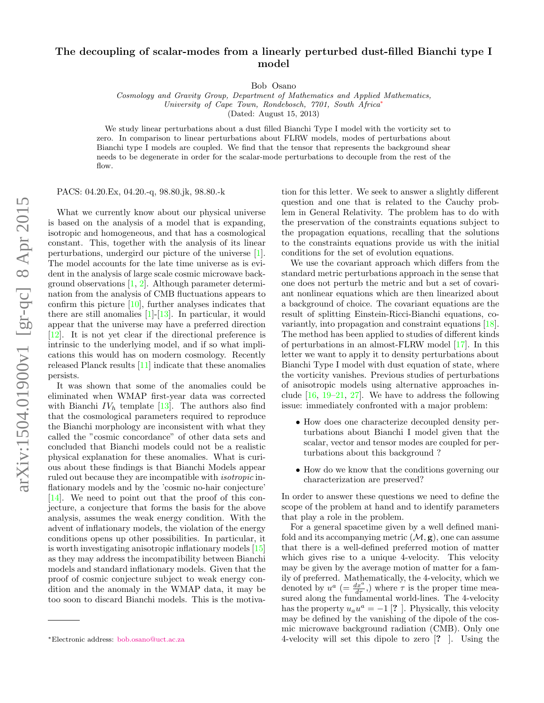## The decoupling of scalar-modes from a linearly perturbed dust-filled Bianchi type I model

Bob Osano

Cosmology and Gravity Group, Department of Mathematics and Applied Mathematics, University of Cape Town, Rondebosch, 7701, South Africa[∗](#page-0-0) (Dated: August 15, 2013)

We study linear perturbations about a dust filled Bianchi Type I model with the vorticity set to zero. In comparison to linear perturbations about FLRW models, modes of perturbations about Bianchi type I models are coupled. We find that the tensor that represents the background shear needs to be degenerate in order for the scalar-mode perturbations to decouple from the rest of the flow.

PACS: 04.20.Ex, 04.20.-q, 98.80.jk, 98.80.-k

What we currently know about our physical universe is based on the analysis of a model that is expanding, isotropic and homogeneous, and that has a cosmological constant. This, together with the analysis of its linear perturbations, undergird our picture of the universe [\[1\]](#page-3-0). The model accounts for the late time universe as is evident in the analysis of large scale cosmic microwave background observations [\[1,](#page-3-0) [2\]](#page-3-1). Although parameter determination from the analysis of CMB fluctuations appears to confirm this picture [\[10\]](#page-3-2), further analyses indicates that there are still anomalies  $[1]-[13]$  $[1]-[13]$  $[1]-[13]$ . In particular, it would appear that the universe may have a preferred direction [\[12\]](#page-3-4). It is not yet clear if the directional preference is intrinsic to the underlying model, and if so what implications this would has on modern cosmology. Recently released Planck results [\[11\]](#page-3-5) indicate that these anomalies persists.

It was shown that some of the anomalies could be eliminated when WMAP first-year data was corrected with Bianchi  $IV<sub>h</sub>$  template [\[13\]](#page-3-3). The authors also find that the cosmological parameters required to reproduce the Bianchi morphology are inconsistent with what they called the "cosmic concordance" of other data sets and concluded that Bianchi models could not be a realistic physical explanation for these anomalies. What is curious about these findings is that Bianchi Models appear ruled out because they are incompatible with isotropic inflationary models and by the 'cosmic no-hair conjecture' [\[14\]](#page-3-6). We need to point out that the proof of this conjecture, a conjecture that forms the basis for the above analysis, assumes the weak energy condition. With the advent of inflationary models, the violation of the energy conditions opens up other possibilities. In particular, it is worth investigating anisotropic inflationary models [\[15\]](#page-3-7) as they may address the incompatibility between Bianchi models and standard inflationary models. Given that the proof of cosmic conjecture subject to weak energy condition and the anomaly in the WMAP data, it may be too soon to discard Bianchi models. This is the motiva-

tion for this letter. We seek to answer a slightly different question and one that is related to the Cauchy problem in General Relativity. The problem has to do with the preservation of the constraints equations subject to the propagation equations, recalling that the solutions to the constraints equations provide us with the initial conditions for the set of evolution equations.

We use the covariant approach which differs from the standard metric perturbations approach in the sense that one does not perturb the metric and but a set of covariant nonlinear equations which are then linearized about a background of choice. The covariant equations are the result of splitting Einstein-Ricci-Bianchi equations, covariantly, into propagation and constraint equations [\[18\]](#page-3-8). The method has been applied to studies of different kinds of perturbations in an almost-FLRW model [\[17\]](#page-3-9). In this letter we want to apply it to density perturbations about Bianchi Type I model with dust equation of state, where the vorticity vanishes. Previous studies of perturbations of anisotropic models using alternative approaches include  $[16, 19-21, 27]$  $[16, 19-21, 27]$  $[16, 19-21, 27]$  $[16, 19-21, 27]$  $[16, 19-21, 27]$ . We have to address the following issue: immediately confronted with a major problem:

- How does one characterize decoupled density perturbations about Bianchi I model given that the scalar, vector and tensor modes are coupled for perturbations about this background ?
- How do we know that the conditions governing our characterization are preserved?

In order to answer these questions we need to define the scope of the problem at hand and to identify parameters that play a role in the problem.

For a general spacetime given by a well defined manifold and its accompanying metric  $(\mathcal{M}, g)$ , one can assume that there is a well-defined preferred motion of matter which gives rise to a unique 4-velocity. This velocity may be given by the average motion of matter for a family of preferred. Mathematically, the 4-velocity, which we denoted by  $u^a = \frac{dx^a}{d\tau}$ ,) where  $\tau$  is the proper time measured along the fundamental world-lines. The 4-velocity has the property  $u_a u^a = -1$  [? ]. Physically, this velocity may be defined by the vanishing of the dipole of the cosmic microwave background radiation (CMB). Only one 4-velocity will set this dipole to zero [? ]. Using the

<span id="page-0-0"></span><sup>∗</sup>Electronic address: [bob.osano@uct.ac.za](mailto:bob.osano@uct.ac.za)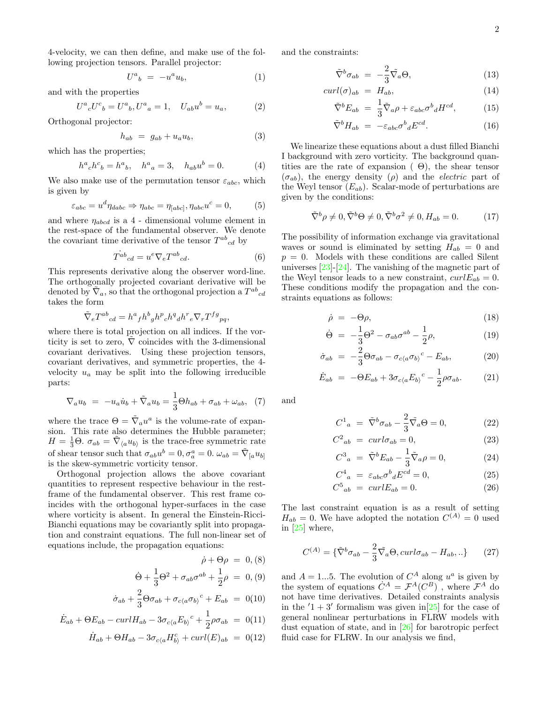4-velocity, we can then define, and make use of the following projection tensors. Parallel projector:

$$
U^a{}_b = -u^a u_b,\tag{1}
$$

and with the properties

$$
U^{a}{}_{c}U^{c}{}_{b}=U^{a}{}_{b},U^{a}{}_{a}=1, \quad U_{ab}u^{b}=u_{a}, \tag{2}
$$

Orthogonal projector:

$$
h_{ab} = g_{ab} + u_a u_b, \tag{3}
$$

which has the properties;

$$
h^{a}{}_{c}h^{c}{}_{b} = h^{a}{}_{b}, \quad h^{a}{}_{a} = 3, \quad h_{ab}u^{b} = 0.
$$
 (4)

We also make use of the permutation tensor  $\varepsilon_{abc}$ , which is given by

$$
\varepsilon_{abc} = u^d \eta_{dabc} \Rightarrow \eta_{abc} = \eta_{[abc]}, \eta_{abc} u^c = 0,\tag{5}
$$

and where  $\eta_{abcd}$  is a  $4$  - dimensional volume element in the rest-space of the fundamental observer. We denote the covariant time derivative of the tensor  $T^{ab}{}_{cd}$  by

$$
T^{ab}{}_{cd} = u^e \nabla_e T^{ab}{}_{cd}.
$$
 (6)

This represents derivative along the observer word-line. The orthogonally projected covariant derivative will be denoted by  $\tilde{\nabla}_a$ , so that the orthogonal projection a  $T^{ab}{}_{cd}$ takes the form

$$
\tilde{\nabla}_e T^{ab}{}_{cd} = h^a{}_f h^b{}_g h^p{}_c h^q{}_d h^r{}_e \nabla_r T^{fg}{}_{pq},
$$

where there is total projection on all indices. If the vorticity is set to zero,  $\nabla$  coincides with the 3-dimensional covariant derivatives. Using these projection tensors, covariant derivatives, and symmetric properties, the 4 velocity  $u_a$  may be split into the following irreducible parts:

$$
\nabla_a u_b = -u_a \dot{u}_b + \tilde{\nabla}_a u_b = \frac{1}{3} \Theta h_{ab} + \sigma_{ab} + \omega_{ab}, \tag{7}
$$

where the trace  $\Theta = \tilde{\nabla}_a u^a$  is the volume-rate of expansion. This rate also determines the Hubble parameter;  $H = \frac{1}{3}\Theta$ .  $\sigma_{ab} = \tilde{\nabla}_{\langle a} u_{b \rangle}$  is the trace-free symmetric rate of shear tensor such that  $\sigma_{ab}u^b = 0$ ,  $\sigma_a^a = 0$ .  $\omega_{ab} = \tilde{\nabla}_{[a}u_{b]}$ is the skew-symmetric vorticity tensor.

Orthogonal projection allows the above covariant quantities to represent respective behaviour in the restframe of the fundamental observer. This rest frame coincides with the orthogonal hyper-surfaces in the case where vorticity is absent. In general the Einstein-Ricci-Bianchi equations may be covariantly split into propagation and constraint equations. The full non-linear set of equations include, the propagation equations:

$$
\dot{\rho} + \Theta \rho = 0, (8)
$$

$$
\dot{\Theta} + \frac{1}{3} \Theta^2 + \sigma_{ab} \sigma^{ab} + \frac{1}{2} \rho = 0, (9)
$$

$$
\dot{\sigma}_{ab} + \frac{2}{3}\Theta\sigma_{ab} + \sigma_{c\langle a}\sigma_{b\rangle}{}^c + E_{ab} = 0(10)
$$

$$
\dot{E}_{ab} + \Theta E_{ab} - curl H_{ab} - 3\sigma_{c\langle a} E_{b\rangle}{}^c + \frac{1}{2}\rho \sigma_{ab} = 0(11)
$$
  

$$
\dot{H}_{ab} + \Theta H_{ab} - 3\sigma_{c\langle a} H_{b\rangle}^c + curl(E)_{ab} = 0(12)
$$

and the constraints:

$$
\tilde{\nabla}^b \sigma_{ab} = -\frac{2}{3} \tilde{\nabla}_a \Theta, \qquad (13)
$$

$$
curl(\sigma)_{ab} = H_{ab}, \t\t(14)
$$

$$
\tilde{\nabla}^b E_{ab} = \frac{1}{3} \tilde{\nabla}_a \rho + \varepsilon_{abc} \sigma^b{}_d H^{cd}, \qquad (15)
$$

$$
\tilde{\nabla}^b H_{ab} = -\varepsilon_{abc} \sigma^b{}_d E^{cd}.
$$
 (16)

We linearize these equations about a dust filled Bianchi I background with zero vorticity. The background quantities are the rate of expansion  $( \Theta)$ , the shear tensor  $(\sigma_{ab})$ , the energy density (ρ) and the *electric* part of the Weyl tensor  $(E_{ab})$ . Scalar-mode of perturbations are given by the conditions:

$$
\tilde{\nabla}^b \rho \neq 0, \tilde{\nabla}^b \Theta \neq 0, \tilde{\nabla}^b \sigma^2 \neq 0, H_{ab} = 0.
$$
 (17)

The possibility of information exchange via gravitational waves or sound is eliminated by setting  $H_{ab} = 0$  and  $p = 0$ . Models with these conditions are called Silent universes  $[23]-[24]$  $[23]-[24]$  $[23]-[24]$ . The vanishing of the magnetic part of the Weyl tensor leads to a new constraint,  $curl E_{ab} = 0$ . These conditions modify the propagation and the constraints equations as follows:

$$
\dot{\rho} = -\Theta \rho,\tag{18}
$$

<span id="page-1-0"></span>
$$
\dot{\Theta} = -\frac{1}{3}\Theta^2 - \sigma_{ab}\sigma^{ab} - \frac{1}{2}\rho,\tag{19}
$$

$$
\dot{\sigma}_{ab} = -\frac{2}{3} \Theta \sigma_{ab} - \sigma_{c\langle a} \sigma_{b \rangle}{}^c - E_{ab}, \tag{20}
$$

$$
\dot{E}_{ab} = -\Theta E_{ab} + 3\sigma_{c\langle a} E_{b\rangle}{}^c - \frac{1}{2}\rho \sigma_{ab}.
$$
 (21)

and

$$
C_{a}^{1} = \tilde{\nabla}^{b} \sigma_{ab} - \frac{2}{3} \tilde{\nabla}_{a} \Theta = 0, \qquad (22)
$$

<span id="page-1-1"></span>
$$
C^2_{\ \ ab} = \ \operatorname{curl} \sigma_{ab} = 0,\tag{23}
$$

$$
C^3{}_a = \tilde{\nabla}^b E_{ab} - \frac{1}{3} \tilde{\nabla}_a \rho = 0, \qquad (24)
$$

$$
C^4_{\ a} = \varepsilon_{abc} \sigma^b{}_d E^{cd} = 0,\tag{25}
$$

$$
C_{ab}^5 = \operatorname{curl} E_{ab} = 0. \tag{26}
$$

The last constraint equation is as a result of setting  $H_{ab} = 0$ . We have adopted the notation  $C^{(A)} = 0$  used in [\[25\]](#page-3-16) where,

$$
C^{(A)} = \{ \tilde{\nabla}^b \sigma_{ab} - \frac{2}{3} \tilde{\nabla}_a \Theta, \operatorname{curl} \sigma_{ab} - H_{ab}, .. \}
$$
 (27)

and  $A = 1...5$ . The evolution of  $C^A$  along  $u^a$  is given by the system of equations  $\dot{C}^A = \mathcal{F}^A(C^B)$ , where  $\mathcal{F}^A$  do not have time derivatives. Detailed constraints analysis in the  $1 + 3'$  formalism was given in [\[25\]](#page-3-16) for the case of general nonlinear perturbations in FLRW models with dust equation of state, and in [\[26\]](#page-3-17) for barotropic perfect fluid case for FLRW. In our analysis we find,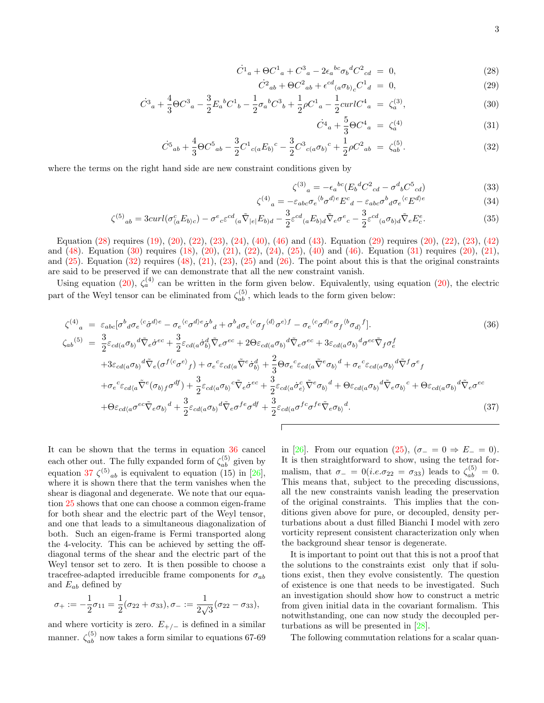<span id="page-2-0"></span>
$$
\dot{C}^1{}_a + \Theta C^1{}_a + C^3{}_a - 2\epsilon_a{}^{bc} \sigma_b{}^d C^2{}_{cd} = 0, \qquad (28)
$$

$$
\dot{C}^2{}_{ab} + \Theta C^2{}_{ab} + \epsilon^{cd}{}_{(a} \sigma_{b)}{}_{c} C^1{}_{d} = 0, \tag{29}
$$

$$
\dot{C}^3{}_a + \frac{4}{3}\Theta C^3{}_a - \frac{3}{2}E_a{}^b C^1{}_b - \frac{1}{2}\sigma_a{}^b C^3{}_b + \frac{1}{2}\rho C^1{}_a - \frac{1}{2}curl C^4{}_a = \zeta_a^{(3)},\tag{30}
$$

$$
\dot{C}^4{}_a + \frac{5}{3} \Theta C^4{}_a = \zeta_a^{(4)} \tag{31}
$$

$$
\dot{C}^5{}_{ab} + \frac{4}{3} \Theta C^5{}_{ab} - \frac{3}{2} C^1{}_{c(a} E_{b)}{}^c - \frac{3}{2} C^3{}_{c(a} \sigma_{b)}{}^c + \frac{1}{2} \rho C^2{}_{ab} = \zeta^{(5)}_{ab}.
$$
\n(32)

where the terms on the right hand side are new constraint conditions given by

$$
\zeta^{(3)}_{a} = -\epsilon_{a}{}^{bc} (E_b{}^d C^2_{cd} - \sigma^d{}_b C^5_{cd})
$$
\n(33)

$$
\zeta^{(4)}{}_{a} = -\varepsilon_{abc}\sigma_{e}{}^{b} \sigma^{d}{}^{e} E^{c}{}_{d} - \varepsilon_{abc}\sigma^{b}{}_{d}\sigma_{e}{}^{c} E^{d}{}^{e}
$$
\n(34)

$$
\zeta^{(5)}{}_{ab} = 3curl(\sigma^c_{\langle a}E_{b\rangle c}) - \sigma^e{}_{c}\varepsilon^{cd}{}_{(a}\tilde{\nabla}_{|e|}E_{b)d} - \frac{3}{2}\varepsilon^{cd}{}_{(a}E_{b)d}\tilde{\nabla}_e\sigma^e{}_c - \frac{3}{2}\varepsilon^{cd}{}_{(a}\sigma_{b)d}\tilde{\nabla}_eE^e_c.
$$
\n(35)

Equation [\(28\)](#page-2-0) requires [\(19\)](#page-1-0), [\(20\)](#page-1-0), [\(22\)](#page-1-1), [\(23\)](#page-1-1), [\(24\)](#page-1-1), [\(40\)](#page-3-18), [\(46\)](#page-3-18) and [\(43\)](#page-3-18). Equation [\(29\)](#page-2-0) requires [\(20\)](#page-1-0), [\(22\)](#page-1-1), [\(23\)](#page-1-1), [\(42\)](#page-3-18) and [\(48\)](#page-3-18). Equation [\(30\)](#page-2-0) requires [\(18\)](#page-1-0), [\(20\)](#page-1-0), [\(21\)](#page-1-0), [\(22\)](#page-1-1), [\(24\)](#page-1-1), [\(25\)](#page-1-1), [\(40\)](#page-3-18) and [\(46\)](#page-3-18). Equation [\(31\)](#page-2-0) requires [\(20\)](#page-1-0), [\(21\)](#page-1-0), and  $(25)$ . Equation  $(32)$  requires  $(48)$ ,  $(21)$ ,  $(23)$ ,  $(25)$  and  $(26)$ . The point about this is that the original constraints are said to be preserved if we can demonstrate that all the new constraint vanish.

Using equation [\(20\)](#page-1-0),  $\zeta_a^{(4)}$  can be written in the form given below. Equivalently, using equation (20), the electric part of the Weyl tensor can be eliminated from  $\zeta_{ab}^{(5)}$ , which leads to the form given below:

<span id="page-2-1"></span>
$$
\zeta^{(4)}{}_{a} = \varepsilon_{abc} [\sigma^{b}{}_{d}\sigma_{e}{}^{c} \dot{\sigma}^{d}{}_{e} - \sigma_{e}{}^{c} \sigma^{d}{}_{e}\dot{\sigma}^{b}{}_{d} + \sigma^{b}{}_{d}\sigma_{e}{}^{c} \sigma_{f}{}^{d}{}_{d}\sigma^{e}{}_{f} - \sigma_{e}{}^{c} \sigma^{d}{}_{e}\sigma_{f}{}^{b} \sigma_{d}{}_{f} \dot{\sigma}^{f}{}_{f}].
$$
\n
$$
\zeta_{ab}^{(5)} = \frac{3}{2} \varepsilon_{cd(a}\sigma_{b)}{}^{d}\tilde{\nabla}_{e}\dot{\sigma}^{ec} + \frac{3}{2} \varepsilon_{cd(a}\dot{\sigma}^{d}_{b)}\tilde{\nabla}_{e}\sigma^{ec} + 2\Theta\varepsilon_{cd(a}\sigma_{b)}{}^{d}\tilde{\nabla}_{e}\sigma^{ec} + 3\varepsilon_{cd(a}\sigma_{b)}{}^{d}\sigma^{ec}\tilde{\nabla}_{f}\sigma^{f}_{e}
$$
\n
$$
+ 3\varepsilon_{cd(a}\sigma_{b)}{}^{d}\tilde{\nabla}_{e} (\sigma^{f\langle c}\sigma^{e)}{}_{f}) + \sigma_{e}{}^{c}\varepsilon_{cd\langle a}\tilde{\nabla}^{e}\dot{\sigma}^{d}_{b)} + \frac{2}{3}\Theta\sigma_{e}{}^{c}\varepsilon_{cd\langle a}\tilde{\nabla}^{e}\sigma_{b\rangle}{}^{d} + \sigma_{e}{}^{c}\varepsilon_{cd\langle a}\sigma_{b\rangle}{}^{d}\tilde{\nabla}^{f}\sigma^{e}{}_{f}
$$
\n
$$
+ \sigma_{e}{}^{c}\varepsilon_{cd\langle a}\tilde{\nabla}^{e} (\sigma_{b)f}\sigma^{df}) + \frac{3}{2}\varepsilon_{cd\langle a}\sigma_{b\rangle}{}^{c}\tilde{\nabla}_{e}\dot{\sigma}^{ec} + \frac{3}{2}\varepsilon_{cd\langle a}\dot{\sigma}^{e}\dot{\nabla}^{e}\sigma_{b\rangle}{}^{d} + \Theta\varepsilon_{cd\langle a}\sigma_{b\rangle}{}^{d}\tilde{\nabla}_{e}\sigma_{b\rangle}{}^{c} + \Theta\varepsilon_{cd\langle a}\sigma_{b\rangle}{}^{d}\tilde{\nabla}_{e}\sigma^{ec}
$$
\n
$$
+ \Theta\varepsilon_{cd\langle a}\sigma^{ec}\tilde{\nabla}_{
$$

It can be shown that the terms in equation [36](#page-2-1) cancel each other out. The fully expanded form of  $\zeta_{ab}^{(5)}$  given by equation [37](#page-2-1)  $\zeta^{(5)}_{ab}$  is equivalent to equation (15) in [\[26\]](#page-3-17), where it is shown there that the term vanishes when the shear is diagonal and degenerate. We note that our equation [25](#page-1-1) shows that one can choose a common eigen-frame for both shear and the electric part of the Weyl tensor, and one that leads to a simultaneous diagonalization of both. Such an eigen-frame is Fermi transported along the 4-velocity. This can be achieved by setting the offdiagonal terms of the shear and the electric part of the Weyl tensor set to zero. It is then possible to choose a tracefree-adapted irreducible frame components for  $\sigma_{ab}$ and  $E_{ab}$  defined by

$$
\sigma_+ := -\frac{1}{2}\sigma_{11} = \frac{1}{2}(\sigma_{22} + \sigma_{33}), \sigma_- := \frac{1}{2\sqrt{3}}(\sigma_{22} - \sigma_{33}),
$$

and where vorticity is zero.  $E_{+/-}$  is defined in a similar manner.  $\zeta_{ab}^{(5)}$  now takes a form similar to equations 67-69

in [\[26\]](#page-3-17). From our equation [\(25\)](#page-1-1),  $(\sigma_- = 0 \Rightarrow E_- = 0)$ . It is then straightforward to show, using the tetrad formalism, that  $\sigma_- = 0$ (*i.e.* $\sigma_{22} = \sigma_{33}$ ) leads to  $\zeta_{ab}^{(5)} = 0$ . This means that, subject to the preceding discussions, all the new constraints vanish leading the preservation of the original constraints. This implies that the conditions given above for pure, or decoupled, density perturbations about a dust filled Bianchi I model with zero vorticity represent consistent characterization only when the background shear tensor is degenerate.

It is important to point out that this is not a proof that the solutions to the constraints exist only that if solutions exist, then they evolve consistently. The question of existence is one that needs to be investigated. Such an investigation should show how to construct a metric from given initial data in the covariant formalism. This notwithstanding, one can now study the decoupled perturbations as will be presented in [\[28\]](#page-3-19).

The following commutation relations for a scalar quan-